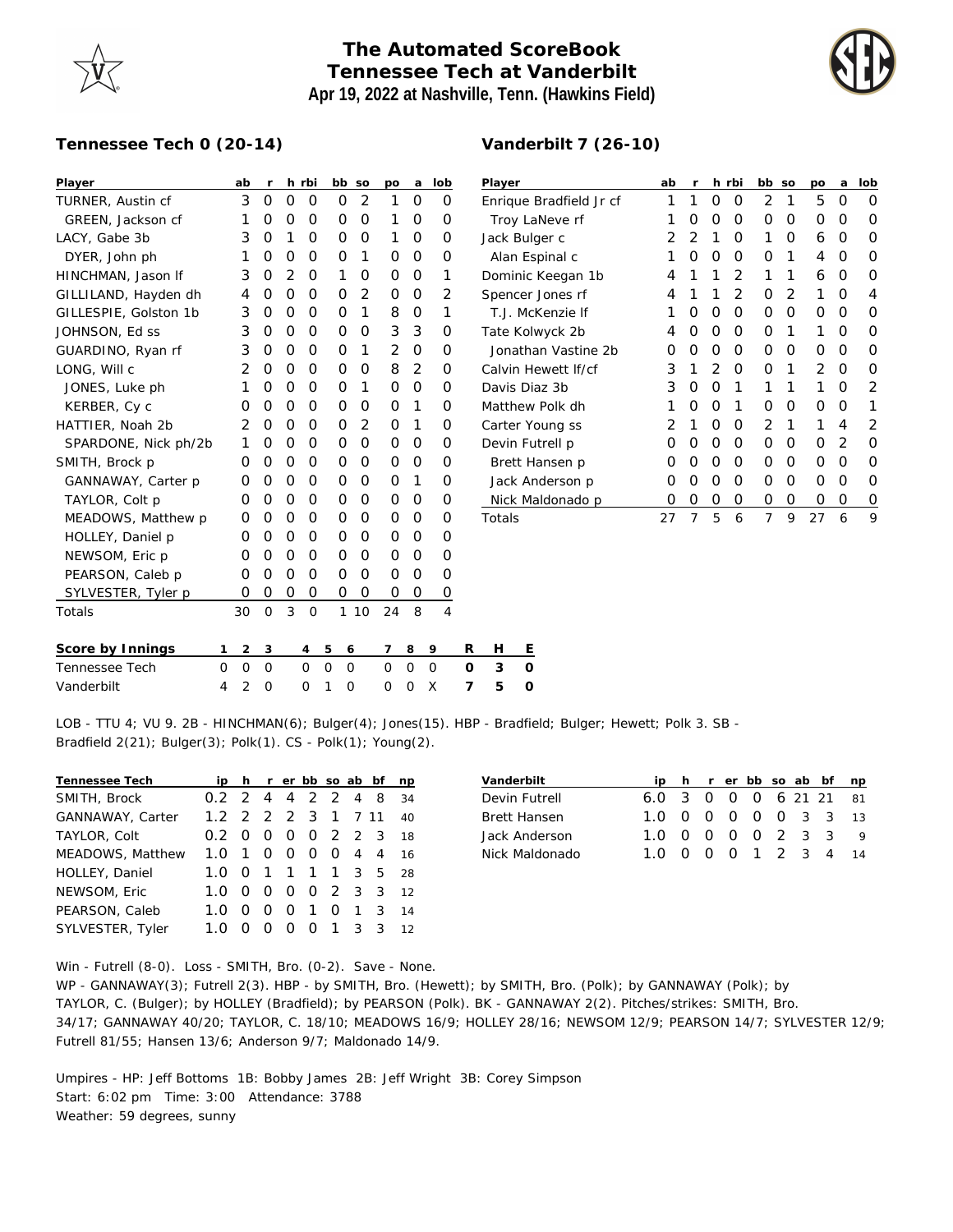## **The Automated ScoreBook Tennessee Tech at Vanderbilt Apr 19, 2022 at Nashville, Tenn. (Hawkins Field)**

## **Tennessee Tech 0 (20-14)**

| Player                |   | ab             | r           |                | h rbi    |          |          | bb so    | po       | a              | lob      |          | Player   |         |
|-----------------------|---|----------------|-------------|----------------|----------|----------|----------|----------|----------|----------------|----------|----------|----------|---------|
| TURNER, Austin cf     |   | 3              | 0           | 0              | O        |          | O        | 2        | 1        | 0              | O        |          | Enrique  |         |
| GREEN, Jackson cf     |   | 1              | O           | $\Omega$       | O        |          | O        | $\Omega$ | 1        | O              | O        |          |          | Troy La |
| LACY, Gabe 3b         |   | 3              | O           | 1              | O        |          | O        | $\Omega$ | 1        | O              | O        |          | Jack Bul |         |
| DYER, John ph         |   | 1              | 0           | O              | O        |          | O        | 1        | O        | O              | Ο        |          |          | Alan Es |
| HINCHMAN, Jason If    |   | 3              | O           | $\overline{2}$ | O        |          | 1        | $\Omega$ | $\Omega$ | O              | 1        |          | Dominic  |         |
| GILLILAND, Hayden dh  |   | 4              | O           | 0              | O        |          | O        | 2        | O        | O              | 2        |          | Spencer  |         |
| GILLESPIE, Golston 1b |   | 3              | 0           | 0              | O        |          | O        | 1        | 8        | O              | 1        |          |          | T.J. Mc |
| JOHNSON, Ed ss        |   | 3              | 0           | 0              | 0        |          | O        | 0        | 3        | 3              | O        |          | Tate Kol |         |
| GUARDINO, Ryan rf     |   | 3              | O           | 0              | O        |          | O        | 1        | 2        | $\Omega$       | O        |          |          | Jonath  |
| LONG, Will c          |   | $\overline{2}$ | 0           | 0              | 0        |          | O        | 0        | 8        | $\overline{2}$ | 0        |          | Calvin H |         |
| JONES, Luke ph        |   | 1              | O           | O              | O        |          | O        | 1        | O        | O              | O        |          | Davis Di |         |
| KERBER, Cy c          |   | O              | O           | 0              | 0        |          | O        | $\Omega$ | O        | 1              | O        |          | Matthew  |         |
| HATTIER, Noah 2b      |   | 2              | O           | 0              | O        |          | O        | 2        | $\Omega$ | 1              | O        |          | Carter Y |         |
| SPARDONE, Nick ph/2b  |   | 1              | O           | 0              | 0        |          | O        | 0        | $\Omega$ | 0              | 0        |          | Devin Fu |         |
| SMITH, Brock p        |   | O              | O           | 0              | O        |          | O        | $\Omega$ | $\Omega$ | O              | 0        |          |          | Brett H |
| GANNAWAY, Carter p    |   | 0              | 0           | O              | 0        |          | O        | 0        | $\Omega$ | 1              | $\Omega$ |          |          | Jack Ar |
| TAYLOR, Colt p        |   | O              | O           | O              | O        |          | O        | 0        | $\Omega$ | O              | O        |          |          | Nick M  |
| MEADOWS, Matthew p    |   | 0              | O           | 0              | O        |          | O        | $\Omega$ | O        | O              | O        |          | Totals   |         |
| HOLLEY, Daniel p      |   | O              | O           | O              | O        |          | O        | $\Omega$ | $\Omega$ | O              | O        |          |          |         |
| NEWSOM, Eric p        |   | O              | O           | O              | O        |          | O        | 0        | $\Omega$ | O              | O        |          |          |         |
| PEARSON, Caleb p      |   | O              | O           | O              | O        |          | O        | $\Omega$ | O        | Ο              | O        |          |          |         |
| SYLVESTER, Tyler p    |   | 0              | O           | 0              | O        |          | 0        | $\circ$  | 0        | O              | 0        |          |          |         |
| Totals                |   | 30             | $\Omega$    | 3              | $\Omega$ |          | 1        | 10       | 24       | 8              | 4        |          |          |         |
| Score by Innings      | 1 | $\overline{c}$ | $\mathsf 3$ |                | 4        | 5        | 6        |          | 7        | 8              | 9        | R        | н        | Ε       |
| Tennessee Tech        | O | O              | $\Omega$    |                | $\Omega$ | $\Omega$ | $\Omega$ |          | 0        | $\mathcal{O}$  | $\Omega$ | $\Omega$ | 3        | O       |
| Vanderbilt            | 4 | $\overline{2}$ | $\Omega$    |                | O        | 1        | 0        |          | 0        | $\Omega$       | X        | 7        | 5        | O       |

| Player                  | ab            | r        |                | h rbi          | bb            | SO | po             | a | lob           |
|-------------------------|---------------|----------|----------------|----------------|---------------|----|----------------|---|---------------|
| Enrique Bradfield Jr cf | 1             | 1        | O              | Ω              | 2             | 1  | 5              | Ω | Ω             |
| Troy LaNeve rf          | 1             | O        | O              | Ω              | Ω             | Ο  | Ο              | Ω | Ω             |
| Jack Bulger c           | 2             | 2        | 1              | Ο              | 1             | Ο  | 6              | Ω | ∩             |
| Alan Espinal c          | 1             | O        | Ο              | Ω              | Ω             | 1  | 4              | Ω | ∩             |
| Dominic Keegan 1b       | 4             | 1        | 1              | $\overline{2}$ | 1             | 1  | 6              | O | ∩             |
| Spencer Jones rf        | 4             | 1        | 1              | $\overline{2}$ | Ω             | 2  | 1              | Ω | 4             |
| T.J. McKenzie If        | 1             | O        | O              | O              | Ω             | Ω  | Ω              | Ω | ∩             |
| Tate Kolwyck 2b         | 4             | O        | O              | O              | Ω             | 1  | 1              | Ω | ∩             |
| Jonathan Vastine 2b     | Ω             | O        | Ο              | Ω              | Ω             | Ω  | Ω              | Ω | ∩             |
| Calvin Hewett If/cf     | 3             | 1        | $\overline{2}$ | Ω              | Ω             | 1  | $\mathfrak{D}$ | Ω | ∩             |
| Davis Diaz 3b           | 3             | O        | O              | 1              | 1             | 1  | 1              | ∩ | 2             |
| Matthew Polk dh         | 1             | $\Omega$ | $\Omega$       | 1              | Ω             | Ο  | Ω              | O | 1             |
| Carter Young ss         | $\mathcal{P}$ | 1        | Ο              | Ω              | $\mathcal{P}$ | 1  | 1              | 4 | $\mathcal{P}$ |
| Devin Futrell p         | Ω             | O        | Ο              | Ω              | Ο             | Ο  | Ο              | 2 | Ω             |
| Brett Hansen p          | Ω             | O        | Ο              | Ω              | Ω             | Ο  | Ο              | Ο | Ω             |
| Jack Anderson p         | Ω             | O        | Ο              | Ο              | Ο             | Ο  | Ο              | Ο | Ω             |
| Nick Maldonado p        | Ω             | 0        | 0              | 0              | 0             | 0  | Ω              | Ο | O             |
| Totals                  | 27            | 7        | 5              | 6              | 7             | 9  | 27             | 6 | 9             |

LOB - TTU 4; VU 9. 2B - HINCHMAN(6); Bulger(4); Jones(15). HBP - Bradfield; Bulger; Hewett; Polk 3. SB - Bradfield 2(21); Bulger(3); Polk(1). CS - Polk(1); Young(2).

| Tennessee Tech   | iph rerbbsoabbf    |          |                  |          |                |                |                  | np |
|------------------|--------------------|----------|------------------|----------|----------------|----------------|------------------|----|
| SMITH, Brock     | 0.2 2 4 4 2 2 4 8  |          |                  |          |                |                |                  | 34 |
| GANNAWAY, Carter | 1.2 2 2 2 3 1 7 11 |          |                  |          |                |                |                  | 40 |
| TAYLOR, Colt     | $0.2 \Omega$       |          |                  |          | 0 0 0 2 2 3    |                |                  | 18 |
| MEADOWS, Matthew | $1.0 \t1 \t0 \t0$  |          |                  |          | $\overline{O}$ | $\overline{O}$ | $4\quad 4$       | 16 |
| HOLLEY, Daniel   | 1.0 0 1 1 1 1 3 5  |          |                  |          |                |                |                  | 28 |
| NEWSOM, Eric     | 1. $\Omega$        | - 0      | $\Omega$         | $\Omega$ | 0 2 3 3        |                |                  | 12 |
| PEARSON, Caleb   | 1.O                | $\Omega$ | $\left( \right)$ | $\Omega$ | $\overline{1}$ | $\Omega$       | $\overline{1}$ 3 | 14 |
| SYLVESTER, Tyler | 1 ∩                |          | $\left( \right)$ | O        | $\Omega$       | 1              | 3 3              | 12 |

| Vanderbilt     |                        |  |  |  | ip h r er bb so ab bf np |  |
|----------------|------------------------|--|--|--|--------------------------|--|
| Devin Futrell  | 6.0 3 0 0 0 6 21 21 81 |  |  |  |                          |  |
| Brett Hansen   | 1.0 0 0 0 0 0 3 3 13   |  |  |  |                          |  |
| Jack Anderson  | 1.0 0 0 0 0 2 3 3 9    |  |  |  |                          |  |
| Nick Maldonado | 1.0 0 0 0 1 2 3 4 14   |  |  |  |                          |  |

Win - Futrell (8-0). Loss - SMITH, Bro. (0-2). Save - None.

WP - GANNAWAY(3); Futrell 2(3). HBP - by SMITH, Bro. (Hewett); by SMITH, Bro. (Polk); by GANNAWAY (Polk); by TAYLOR, C. (Bulger); by HOLLEY (Bradfield); by PEARSON (Polk). BK - GANNAWAY 2(2). Pitches/strikes: SMITH, Bro. 34/17; GANNAWAY 40/20; TAYLOR, C. 18/10; MEADOWS 16/9; HOLLEY 28/16; NEWSOM 12/9; PEARSON 14/7; SYLVESTER 12/9; Futrell 81/55; Hansen 13/6; Anderson 9/7; Maldonado 14/9.

Umpires - HP: Jeff Bottoms 1B: Bobby James 2B: Jeff Wright 3B: Corey Simpson Start: 6:02 pm Time: 3:00 Attendance: 3788 Weather: 59 degrees, sunny



## **Vanderbilt 7 (26-10)**